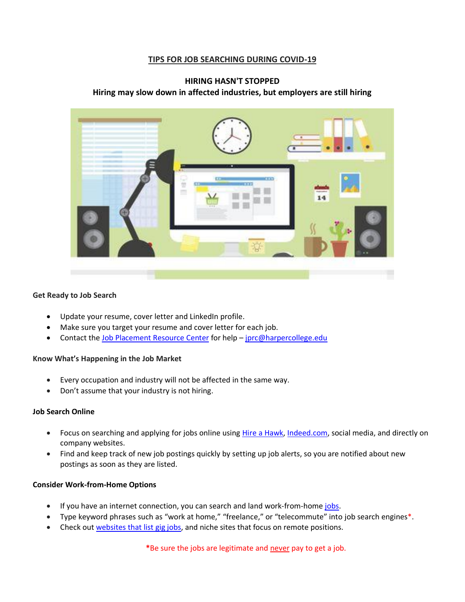### **TIPS FOR JOB SEARCHING DURING COVID-19**

### **HIRING HASN'T STOPPED Hiring may slow down in affected industries, but employers are still hiring**



#### **Get Ready to Job Search**

- Update your resume, cover letter and LinkedIn profile.
- Make sure you target your resume and cover letter for each job.
- Contact the [Job Placement Resource Center](https://www.harpercollege.edu/jprc/index.php) for help [jprc@harpercollege.edu](file:///C:/Users/Nancie/Downloads/jprc@harpercollege,edu)

#### **Know What's Happening in the Job Market**

- Every occupation and industry will not be affected in the same way.
- Don't assume that your industry is not hiring.

#### **Job Search Online**

- Focus on searching and applying for jobs online using [Hire a Hawk,](https://harpercollege-csm.symplicity.com/students/?signin_tab=0&signin_tab=0) [Indeed.com,](https://www.indeed.com/) social media, and directly on company websites.
- Find and keep track of new job postings quickly by setting up job alerts, so you are notified about new postings as soon as they are listed.

#### **Consider Work-from-Home Options**

- If you have an internet connection, you can search and land work-from-home [jobs.](https://www.thebalancecareers.com/how-to-find-real-work-at-home-jobs-2064300)
- Type keyword phrases such as "work at home," "freelance," or "telecommute" into job search engines\*.
- Check out [websites that list gig jobs,](https://www.thebalancesmb.com/best-sites-to-find-gig-jobs-4150364) and niche sites that focus on remote positions.

**\***Be sure the jobs are legitimate and never pay to get a job.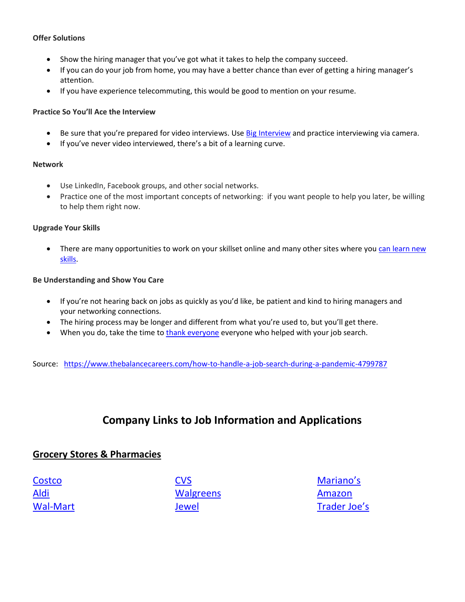### **Offer Solutions**

- Show the hiring manager that you've got what it takes to help the company succeed.
- If you can do your job from home, you may have a better chance than ever of getting a hiring manager's attention.
- If you have experience telecommuting, this would be good to mention on your resume.

#### **Practice So You'll Ace the Interview**

- Be sure that [you're prepared for video interviews](https://www.thebalancecareers.com/tips-for-a-successful-video-job-interview-2061348). Use [Big Interview](https://harpercollege.biginterview.com/) and practice interviewing via camera.
- If you've never video interviewed, there's a bit of a learning curve.

#### **Network**

- Use LinkedIn, Facebook groups, and other social networks.
- Practice one of the most important concepts of networking: if you want people to help you later, be willing to help them right now.

#### **Upgrade Your Skills**

• There are many opportunities to work on your skillset online and many other sites where you can learn new [skills.](https://www.thebalancesmb.com/websites-learn-new-skills-1200627)

#### **Be Understanding and Show You Care**

- If you're not hearing back on jobs as quickly as you'd like, be patient and kind to hiring managers and your networking connections.
- The hiring process may be longer and different from what you're used to, but you'll get there.
- When you do, take the time to [thank everyone](https://www.thebalancecareers.com/sample-thank-you-notes-and-email-messages-2064015) everyone who helped with your job search.

Source: <https://www.thebalancecareers.com/how-to-handle-a-job-search-during-a-pandemic-4799787>

# **Company Links to Job Information and Applications**

### **Grocery Stores & Pharmacies**

**[Costco](https://www.costco.com/jobs.html)** [Aldi](https://careers.aldi.us/?utm_campaign=tmp&utm_medium=careers&utm_source=aldius) [Wal-Mart](https://careers.walmart.com/results?q=&page=1&sort=rank&expand=department,brand,type,rate&jobCareerArea=all) [CVS](https://jobs.cvshealth.com/Accelerated-Hiring?prefilters=none&CloudSearchLocation=none&CloudSearchValue=none) **[Walgreens](https://jobs.walgreens.com/career-areas-overview)** [Jewel](https://www.albertsonscompanies.com/careers/jewel-osco-careers.html)

[Mariano's](https://jobs.kroger.com/key/marianos-careers.html) [Amazon](https://www.amazondelivers.jobs/?cmpid=PRPRLC0780H6) [Trader Joe's](https://www.traderjoes.com/careers)